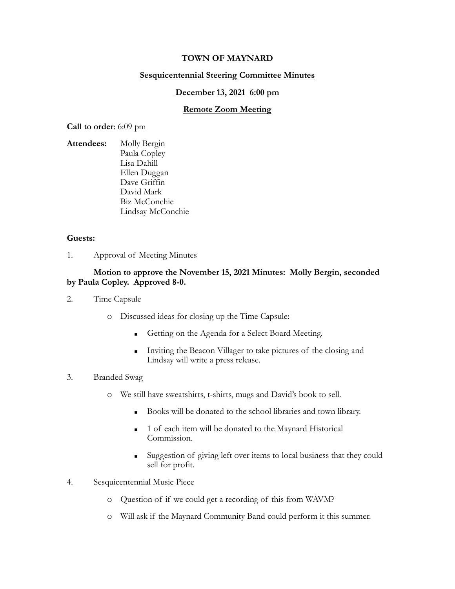# **TOWN OF MAYNARD**

# **Sesquicentennial Steering Committee Minutes**

### **December 13, 2021 6:00 pm**

## **Remote Zoom Meeting**

**Call to order**: 6:09 pm

**Attendees:** Molly Bergin Paula Copley Lisa Dahill Ellen Duggan Dave Griffin David Mark Biz McConchie Lindsay McConchie

### **Guests:**

1. Approval of Meeting Minutes

# **Motion to approve the November 15, 2021 Minutes: Molly Bergin, seconded by Paula Copley. Approved 8-0.**

- 2. Time Capsule
	- o Discussed ideas for closing up the Time Capsule:
		- **Getting on the Agenda for a Select Board Meeting.**
		- **Inviting the Beacon Villager to take pictures of the closing and** Lindsay will write a press release.
- 3. Branded Swag
	- o We still have sweatshirts, t-shirts, mugs and David's book to sell.
		- Books will be donated to the school libraries and town library.
		- 1 of each item will be donated to the Maynard Historical Commission.
		- Suggestion of giving left over items to local business that they could sell for profit.
- 4. Sesquicentennial Music Piece
	- o Question of if we could get a recording of this from WAVM?
	- o Will ask if the Maynard Community Band could perform it this summer.